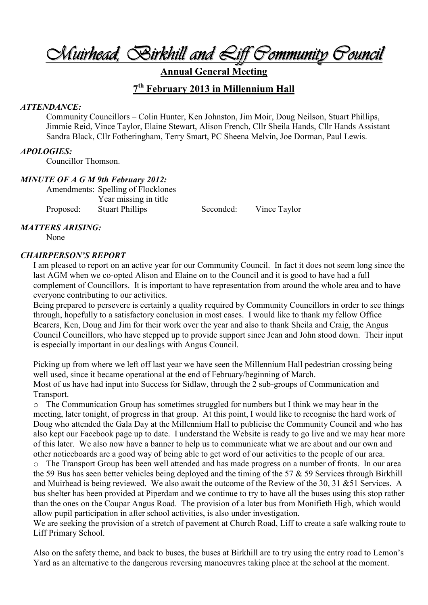*Muirhead, Birkhill and Liff Community Council* 

**Annual General Meeting** 

## **7 th February 2013 in Millennium Hall**

#### *ATTENDANCE:*

Community Councillors – Colin Hunter, Ken Johnston, Jim Moir, Doug Neilson, Stuart Phillips, Jimmie Reid, Vince Taylor, Elaine Stewart, Alison French, Cllr Sheila Hands, Cllr Hands Assistant Sandra Black, Cllr Fotheringham, Terry Smart, PC Sheena Melvin, Joe Dorman, Paul Lewis.

#### *APOLOGIES:*

Councillor Thomson.

#### *MINUTE OF A G M 9th February 2012:*

Amendments: Spelling of Flocklones Year missing in title Proposed: Stuart Phillips Seconded: Vince Taylor

#### *MATTERS ARISING:*

None

#### *CHAIRPERSON'S REPORT*

I am pleased to report on an active year for our Community Council. In fact it does not seem long since the last AGM when we co-opted Alison and Elaine on to the Council and it is good to have had a full complement of Councillors. It is important to have representation from around the whole area and to have everyone contributing to our activities.

Being prepared to persevere is certainly a quality required by Community Councillors in order to see things through, hopefully to a satisfactory conclusion in most cases. I would like to thank my fellow Office Bearers, Ken, Doug and Jim for their work over the year and also to thank Sheila and Craig, the Angus Council Councillors, who have stepped up to provide support since Jean and John stood down. Their input is especially important in our dealings with Angus Council.

Picking up from where we left off last year we have seen the Millennium Hall pedestrian crossing being well used, since it became operational at the end of February/beginning of March. Most of us have had input into Success for Sidlaw, through the 2 sub-groups of Communication and Transport.

o The Communication Group has sometimes struggled for numbers but I think we may hear in the meeting, later tonight, of progress in that group. At this point, I would like to recognise the hard work of Doug who attended the Gala Day at the Millennium Hall to publicise the Community Council and who has also kept our Facebook page up to date. I understand the Website is ready to go live and we may hear more of this later. We also now have a banner to help us to communicate what we are about and our own and other noticeboards are a good way of being able to get word of our activities to the people of our area.

o The Transport Group has been well attended and has made progress on a number of fronts. In our area the 59 Bus has seen better vehicles being deployed and the timing of the 57  $\&$  59 Services through Birkhill and Muirhead is being reviewed. We also await the outcome of the Review of the 30, 31 &51 Services. A bus shelter has been provided at Piperdam and we continue to try to have all the buses using this stop rather than the ones on the Coupar Angus Road. The provision of a later bus from Monifieth High, which would allow pupil participation in after school activities, is also under investigation.

We are seeking the provision of a stretch of pavement at Church Road, Liff to create a safe walking route to Liff Primary School.

Also on the safety theme, and back to buses, the buses at Birkhill are to try using the entry road to Lemon's Yard as an alternative to the dangerous reversing manoeuvres taking place at the school at the moment.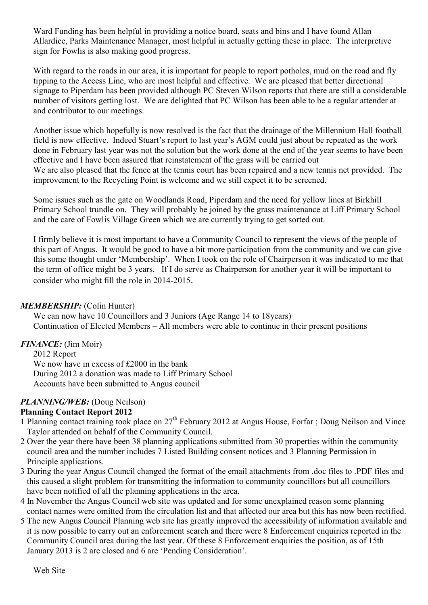Ward Funding has been helpful in providing a notice board, seats and bins and I have found Allan Allardice, Parks Maintenance Manager, most helpful in actually getting these in place. The interpretive sign for Fowlis is also making good progress.

With regard to the roads in our area, it is important for people to report potholes, mud on the road and fly tipping to the Access Line, who are most helpful and effective. We are pleased that better directional signage to Piperdam has been provided although PC Steven Wilson reports that there are still a considerable number of visitors getting lost. We are delighted that PC Wilson has been able to be a regular attender at and contributor to our meetings.

Another issue which hopefully is now resolved is the fact that the drainage of the Millennium Hall football field is now effective. Indeed Stuart's report to last year's AGM could just about be repeated as the work done in February last year was not the solution but the work done at the end of the year seems to have been effective and I have been assured that reinstatement of the grass will be carried out We are also pleased that the fence at the tennis court has been repaired and a new tennis net provided. The improvement to the Recycling Point is welcome and we still expect it to be screened.

Some issues such as the gate on Woodlands Road, Piperdam and the need for yellow lines at Birkhill Primary School trundle on. They will probably be joined by the grass maintenance at Liff Primary School and the care of Fowlis Village Green which we are currently trying to get sorted out.

I firmly believe it is most important to have a Community Council to represent the views of the people of this part of Angus. It would be good to have a bit more participation from the community and we can give this some thought under 'Membership'. When I took on the role of Chairperson it was indicated to me that the term of office might be 3 years. If I do serve as Chairperson for another year it will be important to consider who might fill the role in 2014-2015.

#### *MEMBERSHIP:* (Colin Hunter)

We can now have 10 Councillors and 3 Juniors (Age Range 14 to 18years) Continuation of Elected Members – All members were able to continue in their present positions

## *FINANCE:* (Jim Moir)

2012 Report We now have in excess of £2000 in the bank During 2012 a donation was made to Liff Primary School Accounts have been submitted to Angus council

## *PLANNING/WEB:* (Doug Neilson)

## **Planning Contact Report 2012**

- 1 Planning contact training took place on 27th February 2012 at Angus House, Forfar ; Doug Neilson and Vince Taylor attended on behalf of the Community Council.
- 2 Over the year there have been 38 planning applications submitted from 30 properties within the community council area and the number includes 7 Listed Building consent notices and 3 Planning Permission in Principle applications.
- 3 During the year Angus Council changed the format of the email attachments from .doc files to .PDF files and this caused a slight problem for transmitting the information to community councillors but all councillors have been notified of all the planning applications in the area.
- 4 In November the Angus Council web site was updated and for some unexplained reason some planning contact names were omitted from the circulation list and that affected our area but this has now been rectified.
- 5 The new Angus Council Planning web site has greatly improved the accessibility of information available and it is now possible to carry out an enforcement search and there were 8 Enforcement enquiries reported in the Community Council area during the last year. Of these 8 Enforcement enquiries the position, as of 15th January 2013 is 2 are closed and 6 are 'Pending Consideration'.